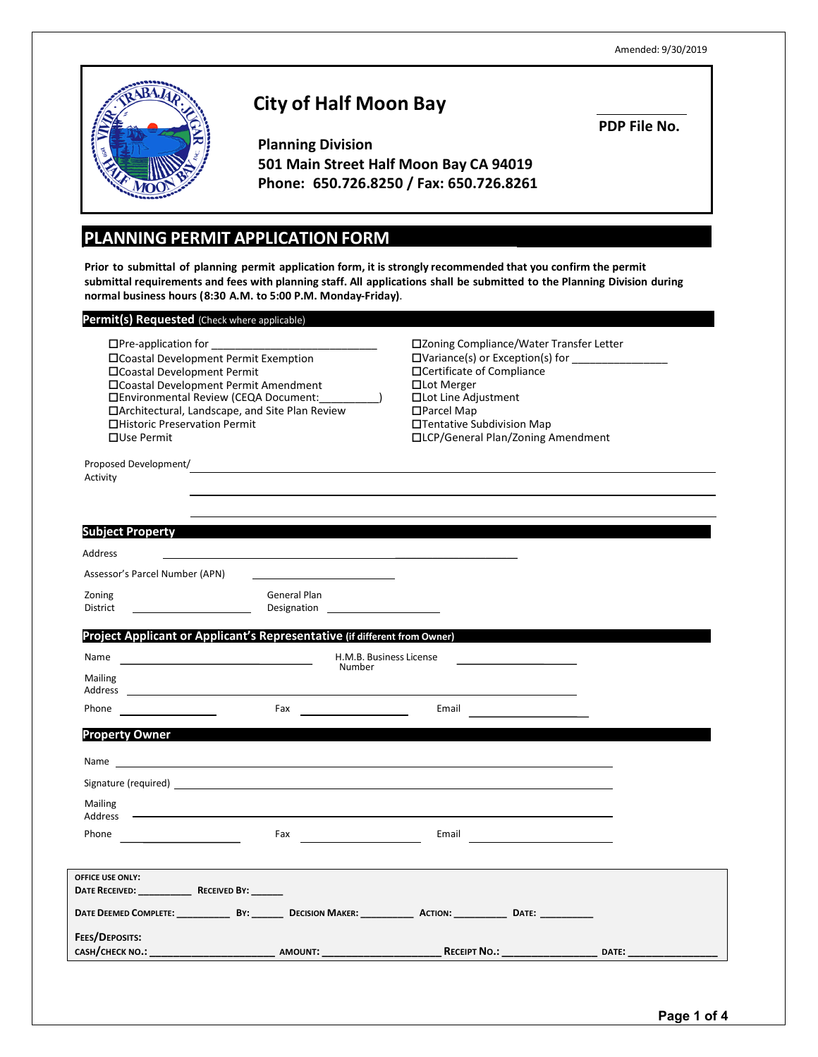Amended: 9/30/2019



# **City of Half Moon Bay**

**PDP File No.**

**Planning Division 501 Main Street Half Moon Bay CA 94019 Phone: 650.726.8250 / Fax: 650.726.8261**

# **PLANNING PERMIT APPLICATIONFORM**

**Prior to submittal of planning permit application form, it is strongly recommended that you confirm the permit**  submittal requirements and fees with planning staff. All applications shall be submitted to the Planning Division during **normal business hours (8:30 A.M. to 5:00 P.M. Monday-Friday)**.

| Permit(s) Requested (Check where applicable)                                                                                                                                                                                                                                              |                                                                                                                                                                                                                                  |                                                                                                                                                                                                                                                      |              |
|-------------------------------------------------------------------------------------------------------------------------------------------------------------------------------------------------------------------------------------------------------------------------------------------|----------------------------------------------------------------------------------------------------------------------------------------------------------------------------------------------------------------------------------|------------------------------------------------------------------------------------------------------------------------------------------------------------------------------------------------------------------------------------------------------|--------------|
| $\Box$ Pre-application for<br>□Coastal Development Permit Exemption<br>□Coastal Development Permit<br>□ Coastal Development Permit Amendment<br>□Environmental Review (CEQA Document:<br>□ Architectural, Landscape, and Site Plan Review<br>□Historic Preservation Permit<br>□Use Permit |                                                                                                                                                                                                                                  | □Zoning Compliance/Water Transfer Letter<br>□Variance(s) or Exception(s) for _________<br>□Certificate of Compliance<br>□Lot Merger<br>□Lot Line Adjustment<br>$\Box$ Parcel Map<br>□Tentative Subdivision Map<br>□LCP/General Plan/Zoning Amendment |              |
| Activity                                                                                                                                                                                                                                                                                  | Proposed Development/<br>The Communication of the Communication of the Communication of the Communication of the Communication of the Communication of the Communication of the Communication of the Communication of the Commun |                                                                                                                                                                                                                                                      |              |
|                                                                                                                                                                                                                                                                                           |                                                                                                                                                                                                                                  |                                                                                                                                                                                                                                                      |              |
| <b>Subject Property</b>                                                                                                                                                                                                                                                                   |                                                                                                                                                                                                                                  |                                                                                                                                                                                                                                                      |              |
| Address                                                                                                                                                                                                                                                                                   |                                                                                                                                                                                                                                  |                                                                                                                                                                                                                                                      |              |
| Assessor's Parcel Number (APN)                                                                                                                                                                                                                                                            |                                                                                                                                                                                                                                  |                                                                                                                                                                                                                                                      |              |
| Zoning<br>District                                                                                                                                                                                                                                                                        | General Plan<br>Designation<br><u> </u>                                                                                                                                                                                          |                                                                                                                                                                                                                                                      |              |
|                                                                                                                                                                                                                                                                                           |                                                                                                                                                                                                                                  |                                                                                                                                                                                                                                                      |              |
|                                                                                                                                                                                                                                                                                           | Project Applicant or Applicant's Representative (if different from Owner)                                                                                                                                                        |                                                                                                                                                                                                                                                      |              |
| Name                                                                                                                                                                                                                                                                                      | H.M.B. Business License<br>Number                                                                                                                                                                                                |                                                                                                                                                                                                                                                      |              |
| <b>Mailing</b><br>Address                                                                                                                                                                                                                                                                 |                                                                                                                                                                                                                                  |                                                                                                                                                                                                                                                      |              |
| Phone <u>________________</u>                                                                                                                                                                                                                                                             |                                                                                                                                                                                                                                  | Email                                                                                                                                                                                                                                                |              |
| <b>Property Owner</b>                                                                                                                                                                                                                                                                     |                                                                                                                                                                                                                                  |                                                                                                                                                                                                                                                      |              |
|                                                                                                                                                                                                                                                                                           |                                                                                                                                                                                                                                  |                                                                                                                                                                                                                                                      |              |
|                                                                                                                                                                                                                                                                                           |                                                                                                                                                                                                                                  |                                                                                                                                                                                                                                                      |              |
|                                                                                                                                                                                                                                                                                           | Signature (required) and the state of the state of the state of the state of the state of the state of the state of the state of the state of the state of the state of the state of the state of the state of the state of th   |                                                                                                                                                                                                                                                      |              |
| Mailing<br>Address                                                                                                                                                                                                                                                                        |                                                                                                                                                                                                                                  |                                                                                                                                                                                                                                                      |              |
| Phone                                                                                                                                                                                                                                                                                     | Fax and the contract of the contract of the contract of the contract of the contract of the contract of the contract of the contract of the contract of the contract of the contract of the contract of the contract of the co   |                                                                                                                                                                                                                                                      |              |
|                                                                                                                                                                                                                                                                                           |                                                                                                                                                                                                                                  |                                                                                                                                                                                                                                                      |              |
| <b>OFFICE USE ONLY:</b><br>DATE RECEIVED: RECEIVED BY:                                                                                                                                                                                                                                    |                                                                                                                                                                                                                                  |                                                                                                                                                                                                                                                      |              |
|                                                                                                                                                                                                                                                                                           |                                                                                                                                                                                                                                  | DATE DEEMED COMPLETE: _____________________________DECISION MAKER: _____________________ACTION: _______________DATE: _________________                                                                                                               |              |
| FEES/DEPOSITS:                                                                                                                                                                                                                                                                            |                                                                                                                                                                                                                                  |                                                                                                                                                                                                                                                      |              |
|                                                                                                                                                                                                                                                                                           |                                                                                                                                                                                                                                  | <b>RECEIPT NO.:</b> _________________                                                                                                                                                                                                                | <b>DATE:</b> |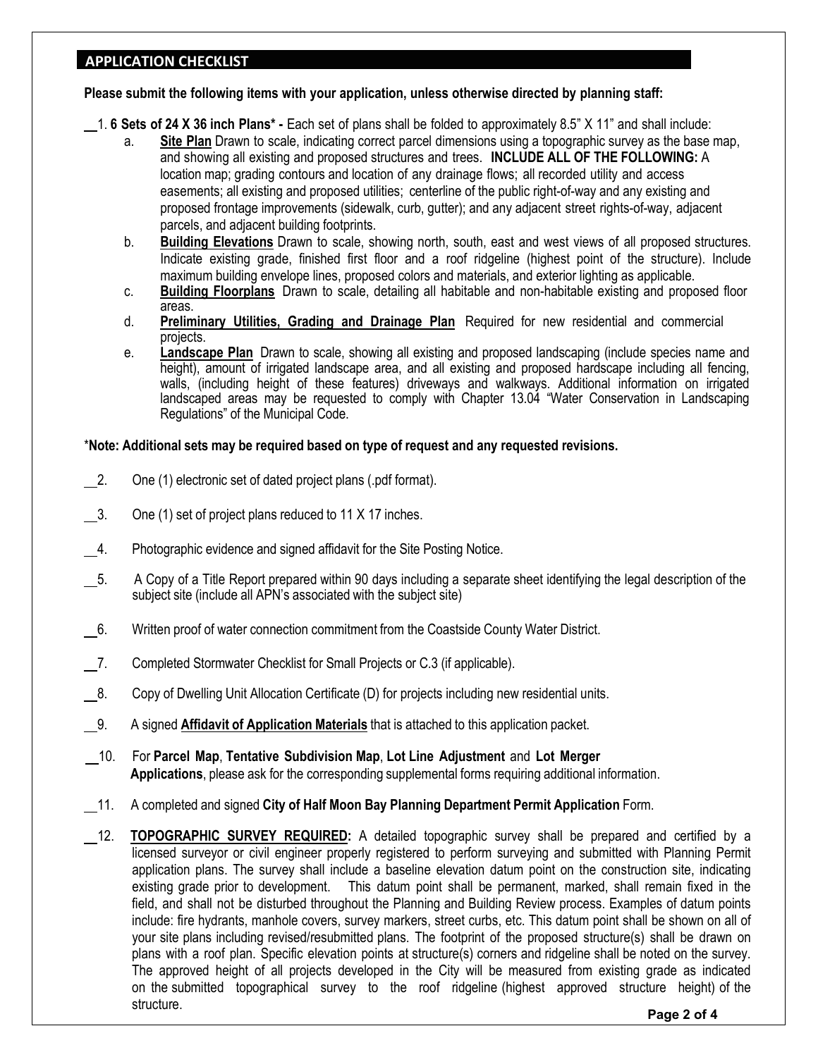# **APPLICATION CHECKLIST**

**Please submit the following items with your application, unless otherwise directed by planning staff:** 

- 1. **6 Sets of 24 X 36 inch Plans\* -** Each set of plans shall be folded to approximately 8.5" X 11" and shall include:
	- a. **Site Plan** Drawn to scale, indicating correct parcel dimensions using a topographic survey as the base map, and showing all existing and proposed structures and trees. **INCLUDE ALL OF THE FOLLOWING:** A location map; grading contours and location of any drainage flows; all recorded utility and access easements; all existing and proposed utilities; centerline of the public right-of-way and any existing and proposed frontage improvements (sidewalk, curb, gutter); and any adjacent street rights-of-way, adjacent parcels, and adjacent building footprints.
	- b. **Building Elevations** Drawn to scale, showing north, south, east and west views of all proposed structures. Indicate existing grade, finished first floor and a roof ridgeline (highest point of the structure). Include maximum building envelope lines, proposed colors and materials, and exterior lighting as applicable.
	- c. **Building Floorplans** Drawn to scale, detailing all habitable and non-habitable existing and proposed floor areas.
	- d. **Preliminary Utilities, Grading and Drainage Plan** Required for new residential and commercial projects.
	- e. **Landscape Plan** Drawn to scale, showing all existing and proposed landscaping (include species name and height), amount of irrigated landscape area, and all existing and proposed hardscape including all fencing, walls, (including height of these features) driveways and walkways. Additional information on irrigated landscaped areas may be requested to comply with Chapter 13.04 "Water Conservation in Landscaping Regulations" of the Municipal Code.

### \***Note: Additional sets may be required based on type of request and any requested revisions.**

- 2. One (1) electronic set of dated project plans (.pdf format).
- 3. One (1) set of project plans reduced to 11 X 17 inches.
- 4. Photographic evidence and signed affidavit for the Site Posting Notice.
- 5. A Copy of a Title Report prepared within 90 days including a separate sheet identifying the legal description of the subject site (include all APN's associated with the subject site)
- 6. Written proof of water connection commitment from the Coastside County Water District.
- 7. Completed Stormwater Checklist for Small Projects or C.3 (if applicable).
- 8. Copy of Dwelling Unit Allocation Certificate (D) for projects including new residential units.
- 9. A signed **Affidavit of Application Materials** that is attached to this application packet.
- 10. For **Parcel Map**, **Tentative Subdivision Map**, **Lot Line Adjustment** and **Lot Merger Applications**, please ask for the corresponding supplemental forms requiring additional information.
- 11. A completed and signed **City of Half Moon Bay Planning Department Permit Application** Form.
- 12. **TOPOGRAPHIC SURVEY REQUIRED:** A detailed topographic survey shall be prepared and certified by a licensed surveyor or civil engineer properly registered to perform surveying and submitted with Planning Permit application plans. The survey shall include a baseline elevation datum point on the construction site, indicating existing grade prior to development. This datum point shall be permanent, marked, shall remain fixed in the field, and shall not be disturbed throughout the Planning and Building Review process. Examples of datum points include: fire hydrants, manhole covers, survey markers, street curbs, etc. This datum point shall be shown on all of your site plans including revised/resubmitted plans. The footprint of the proposed structure(s) shall be drawn on plans with a roof plan. Specific elevation points at structure(s) corners and ridgeline shall be noted on the survey. The approved height of all projects developed in the City will be measured from existing grade as indicated on the submitted topographical survey to the roof ridgeline (highest approved structure height) of the structure. **Page <sup>2</sup> of <sup>4</sup>**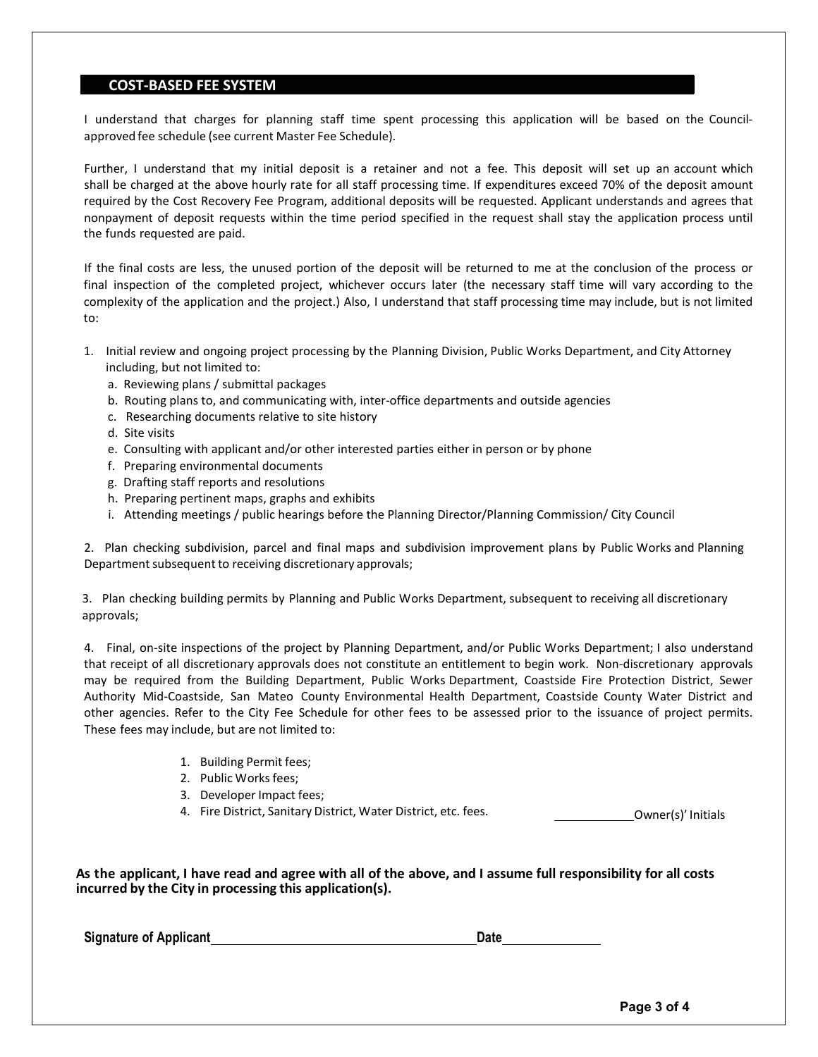#### **COST-BASED FEE SYSTEM**

I understand that charges for planning staff time spent processing this application will be based on the Councilapproved fee schedule (see current Master Fee Schedule).

Further, I understand that my initial deposit is a retainer and not a fee. This deposit will set up an account which shall be charged at the above hourly rate for all staff processing time. If expenditures exceed 70% of the deposit amount required by the Cost Recovery Fee Program, additional deposits will be requested. Applicant understands and agrees that nonpayment of deposit requests within the time period specified in the request shall stay the application process until the funds requested are paid.

If the final costs are less, the unused portion of the deposit will be returned to me at the conclusion of the process or final inspection of the completed project, whichever occurs later (the necessary staff time will vary according to the complexity of the application and the project.) Also, I understand that staff processing time may include, but is not limited to:

- 1. Initial review and ongoing project processing by the Planning Division, Public Works Department, and City Attorney including, but not limited to:
	- a. Reviewing plans / submittal packages
	- b. Routing plans to, and communicating with, inter-office departments and outside agencies
	- c. Researching documents relative to site history
	- d. Site visits
	- e. Consulting with applicant and/or other interested parties either in person or by phone
	- f. Preparing environmental documents
	- g. Drafting staff reports and resolutions
	- h. Preparing pertinent maps, graphs and exhibits
	- i. Attending meetings / public hearings before the Planning Director/Planning Commission/ City Council

2. Plan checking subdivision, parcel and final maps and subdivision improvement plans by Public Works and Planning Department subsequent to receiving discretionary approvals;

3. Plan checking building permits by Planning and Public Works Department, subsequent to receiving all discretionary approvals;

4. Final, on-site inspections of the project by Planning Department, and/or Public Works Department; I also understand that receipt of all discretionary approvals does not constitute an entitlement to begin work. Non-discretionary approvals may be required from the Building Department, Public Works Department, Coastside Fire Protection District, Sewer Authority Mid-Coastside, San Mateo County Environmental Health Department, Coastside County Water District and other agencies. Refer to the City Fee Schedule for other fees to be assessed prior to the issuance of project permits. These fees may include, but are not limited to:

- 1. Building Permit fees;
- 2. Public Works fees;
- 3. Developer Impact fees;
- 4. Fire District, Sanitary District, Water District, etc. fees. The Commerchine Commerching Commerching Commer

As the applicant, I have read and agree with all of the above, and I assume full responsibility for all costs **incurred by the City in processing this application(s).**

**Signature** of Applicant **Date Date Date Date Date Date Date Date Date Date Date Date Date Date Date Date Date Date Date Date Date Date Date Date Date Date Date Date**